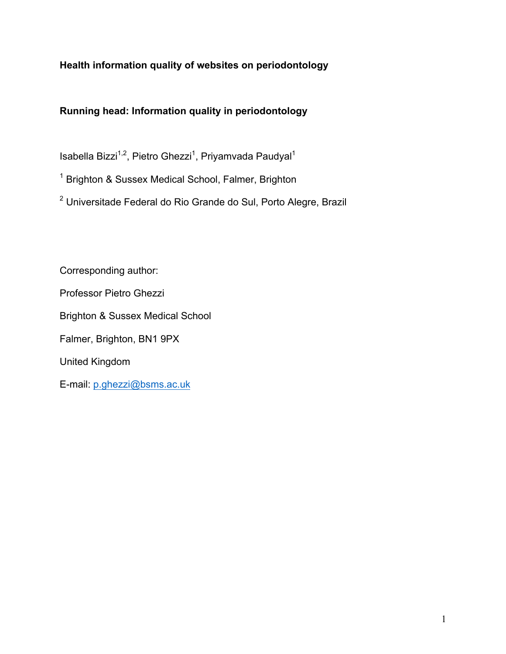# **Health information quality of websites on periodontology**

# **Running head: Information quality in periodontology**

Isabella Bizzi<sup>1,2</sup>, Pietro Ghezzi<sup>1</sup>, Priyamvada Paudyal<sup>1</sup>

<sup>1</sup> Brighton & Sussex Medical School, Falmer, Brighton

<sup>2</sup> Universitade Federal do Rio Grande do Sul, Porto Alegre, Brazil

Corresponding author: Professor Pietro Ghezzi Brighton & Sussex Medical School Falmer, Brighton, BN1 9PX United Kingdom E-mail: p.ghezzi@bsms.ac.uk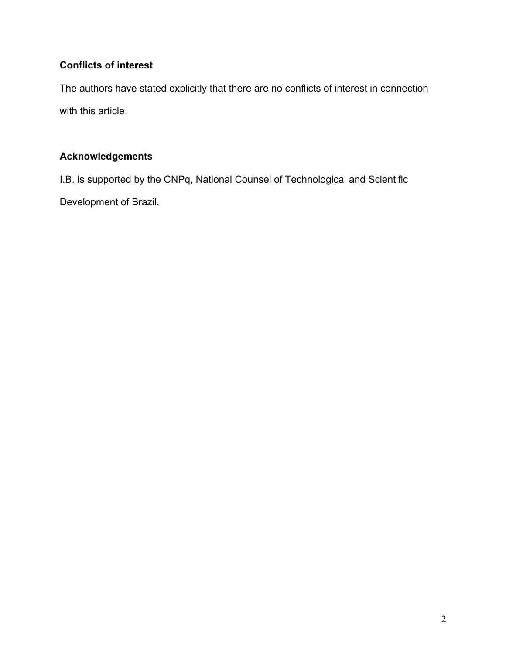# **Conflicts of interest**

The authors have stated explicitly that there are no conflicts of interest in connection with this article.

# **Acknowledgements**

I.B. is supported by the CNPq, National Counsel of Technological and Scientific Development of Brazil.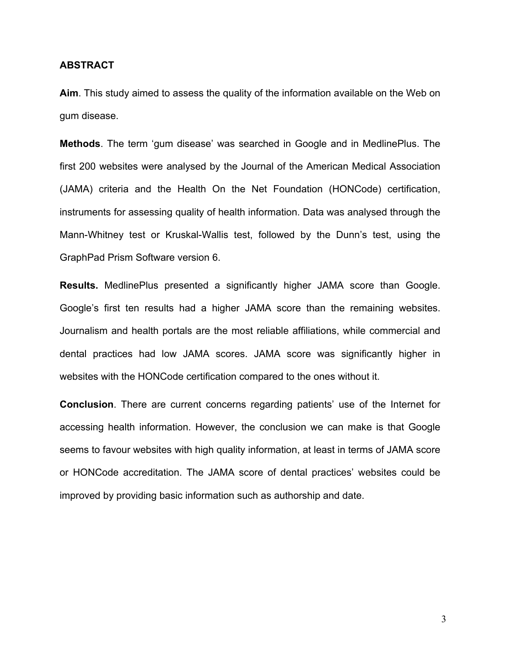# **ABSTRACT**

**Aim**. This study aimed to assess the quality of the information available on the Web on gum disease.

**Methods**. The term 'gum disease' was searched in Google and in MedlinePlus. The first 200 websites were analysed by the Journal of the American Medical Association (JAMA) criteria and the Health On the Net Foundation (HONCode) certification, instruments for assessing quality of health information. Data was analysed through the Mann-Whitney test or Kruskal-Wallis test, followed by the Dunn's test, using the GraphPad Prism Software version 6.

**Results.** MedlinePlus presented a significantly higher JAMA score than Google. Google's first ten results had a higher JAMA score than the remaining websites. Journalism and health portals are the most reliable affiliations, while commercial and dental practices had low JAMA scores. JAMA score was significantly higher in websites with the HONCode certification compared to the ones without it.

**Conclusion**. There are current concerns regarding patients' use of the Internet for accessing health information. However, the conclusion we can make is that Google seems to favour websites with high quality information, at least in terms of JAMA score or HONCode accreditation. The JAMA score of dental practices' websites could be improved by providing basic information such as authorship and date.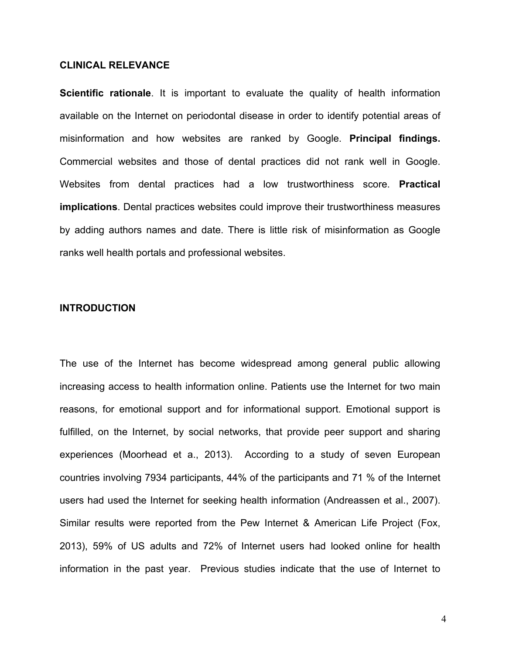## **CLINICAL RELEVANCE**

**Scientific rationale**. It is important to evaluate the quality of health information available on the Internet on periodontal disease in order to identify potential areas of misinformation and how websites are ranked by Google. **Principal findings.** Commercial websites and those of dental practices did not rank well in Google. Websites from dental practices had a low trustworthiness score. **Practical implications**. Dental practices websites could improve their trustworthiness measures by adding authors names and date. There is little risk of misinformation as Google ranks well health portals and professional websites.

#### **INTRODUCTION**

The use of the Internet has become widespread among general public allowing increasing access to health information online. Patients use the Internet for two main reasons, for emotional support and for informational support. Emotional support is fulfilled, on the Internet, by social networks, that provide peer support and sharing experiences (Moorhead et a., 2013). According to a study of seven European countries involving 7934 participants, 44% of the participants and 71 % of the Internet users had used the Internet for seeking health information (Andreassen et al., 2007). Similar results were reported from the Pew Internet & American Life Project (Fox, 2013), 59% of US adults and 72% of Internet users had looked online for health information in the past year. Previous studies indicate that the use of Internet to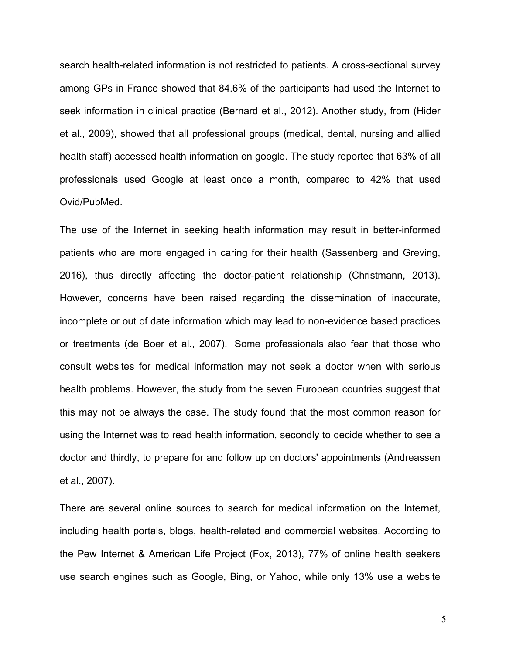search health-related information is not restricted to patients. A cross-sectional survey among GPs in France showed that 84.6% of the participants had used the Internet to seek information in clinical practice (Bernard et al., 2012). Another study, from (Hider et al., 2009), showed that all professional groups (medical, dental, nursing and allied health staff) accessed health information on google. The study reported that 63% of all professionals used Google at least once a month, compared to 42% that used Ovid/PubMed.

The use of the Internet in seeking health information may result in better-informed patients who are more engaged in caring for their health (Sassenberg and Greving, 2016), thus directly affecting the doctor-patient relationship (Christmann, 2013). However, concerns have been raised regarding the dissemination of inaccurate, incomplete or out of date information which may lead to non-evidence based practices or treatments (de Boer et al., 2007). Some professionals also fear that those who consult websites for medical information may not seek a doctor when with serious health problems. However, the study from the seven European countries suggest that this may not be always the case. The study found that the most common reason for using the Internet was to read health information, secondly to decide whether to see a doctor and thirdly, to prepare for and follow up on doctors' appointments (Andreassen et al., 2007).

There are several online sources to search for medical information on the Internet, including health portals, blogs, health-related and commercial websites. According to the Pew Internet & American Life Project (Fox, 2013), 77% of online health seekers use search engines such as Google, Bing, or Yahoo, while only 13% use a website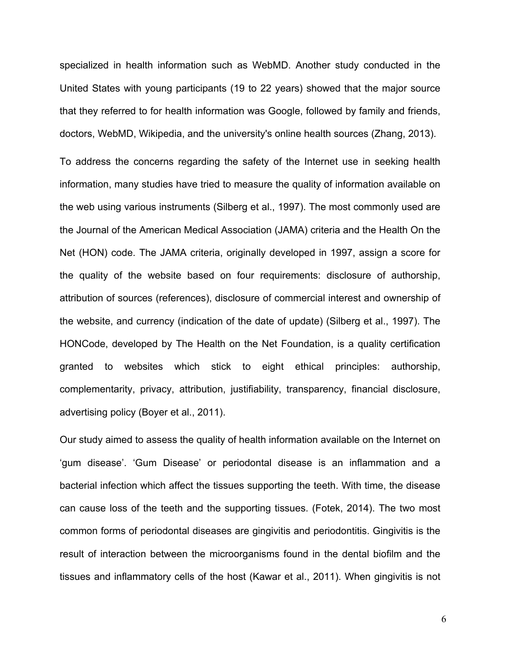specialized in health information such as WebMD. Another study conducted in the United States with young participants (19 to 22 years) showed that the major source that they referred to for health information was Google, followed by family and friends, doctors, WebMD, Wikipedia, and the university's online health sources (Zhang, 2013).

To address the concerns regarding the safety of the Internet use in seeking health information, many studies have tried to measure the quality of information available on the web using various instruments (Silberg et al., 1997). The most commonly used are the Journal of the American Medical Association (JAMA) criteria and the Health On the Net (HON) code. The JAMA criteria, originally developed in 1997, assign a score for the quality of the website based on four requirements: disclosure of authorship, attribution of sources (references), disclosure of commercial interest and ownership of the website, and currency (indication of the date of update) (Silberg et al., 1997). The HONCode, developed by The Health on the Net Foundation, is a quality certification granted to websites which stick to eight ethical principles: authorship, complementarity, privacy, attribution, justifiability, transparency, financial disclosure, advertising policy (Boyer et al., 2011).

Our study aimed to assess the quality of health information available on the Internet on 'gum disease'. 'Gum Disease' or periodontal disease is an inflammation and a bacterial infection which affect the tissues supporting the teeth. With time, the disease can cause loss of the teeth and the supporting tissues. (Fotek, 2014). The two most common forms of periodontal diseases are gingivitis and periodontitis. Gingivitis is the result of interaction between the microorganisms found in the dental biofilm and the tissues and inflammatory cells of the host (Kawar et al., 2011). When gingivitis is not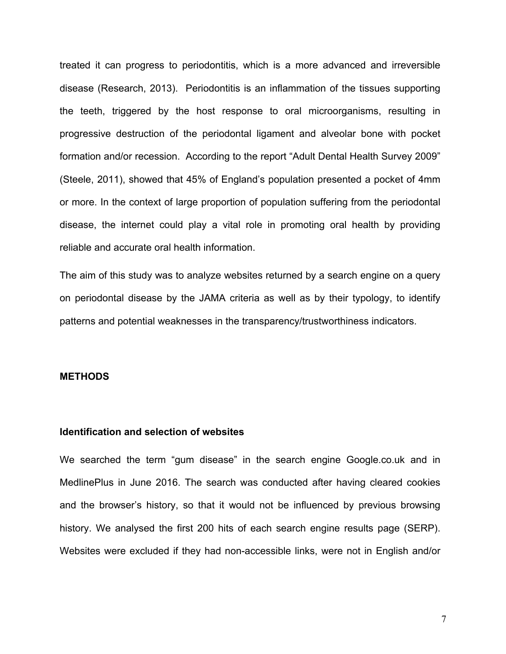treated it can progress to periodontitis, which is a more advanced and irreversible disease (Research, 2013). Periodontitis is an inflammation of the tissues supporting the teeth, triggered by the host response to oral microorganisms, resulting in progressive destruction of the periodontal ligament and alveolar bone with pocket formation and/or recession. According to the report "Adult Dental Health Survey 2009" (Steele, 2011), showed that 45% of England's population presented a pocket of 4mm or more. In the context of large proportion of population suffering from the periodontal disease, the internet could play a vital role in promoting oral health by providing reliable and accurate oral health information.

The aim of this study was to analyze websites returned by a search engine on a query on periodontal disease by the JAMA criteria as well as by their typology, to identify patterns and potential weaknesses in the transparency/trustworthiness indicators.

#### **METHODS**

### **Identification and selection of websites**

We searched the term "gum disease" in the search engine Google.co.uk and in MedlinePlus in June 2016. The search was conducted after having cleared cookies and the browser's history, so that it would not be influenced by previous browsing history. We analysed the first 200 hits of each search engine results page (SERP). Websites were excluded if they had non-accessible links, were not in English and/or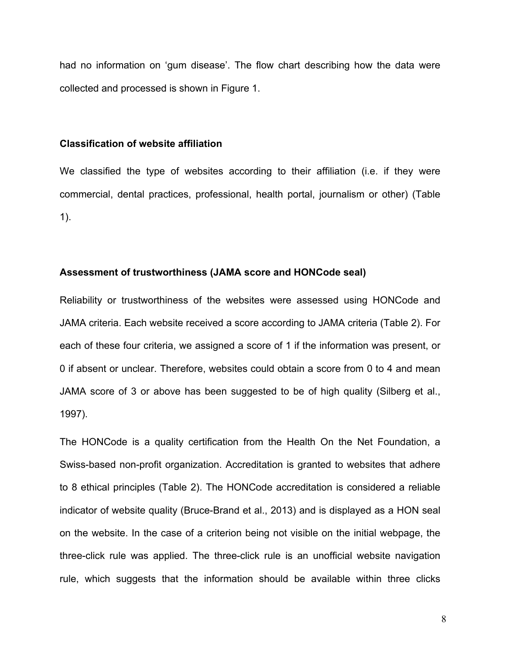had no information on 'gum disease'. The flow chart describing how the data were collected and processed is shown in Figure 1.

### **Classification of website affiliation**

We classified the type of websites according to their affiliation (i.e. if they were commercial, dental practices, professional, health portal, journalism or other) (Table 1).

# **Assessment of trustworthiness (JAMA score and HONCode seal)**

Reliability or trustworthiness of the websites were assessed using HONCode and JAMA criteria. Each website received a score according to JAMA criteria (Table 2). For each of these four criteria, we assigned a score of 1 if the information was present, or 0 if absent or unclear. Therefore, websites could obtain a score from 0 to 4 and mean JAMA score of 3 or above has been suggested to be of high quality (Silberg et al., 1997).

The HONCode is a quality certification from the Health On the Net Foundation, a Swiss-based non-profit organization. Accreditation is granted to websites that adhere to 8 ethical principles (Table 2). The HONCode accreditation is considered a reliable indicator of website quality (Bruce-Brand et al., 2013) and is displayed as a HON seal on the website. In the case of a criterion being not visible on the initial webpage, the three-click rule was applied. The three-click rule is an unofficial website navigation rule, which suggests that the information should be available within three clicks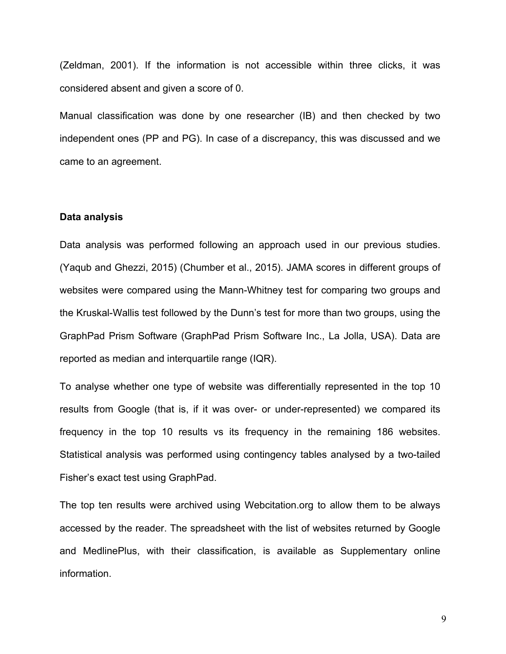(Zeldman, 2001). If the information is not accessible within three clicks, it was considered absent and given a score of 0.

Manual classification was done by one researcher (IB) and then checked by two independent ones (PP and PG). In case of a discrepancy, this was discussed and we came to an agreement.

## **Data analysis**

Data analysis was performed following an approach used in our previous studies. (Yaqub and Ghezzi, 2015) (Chumber et al., 2015). JAMA scores in different groups of websites were compared using the Mann-Whitney test for comparing two groups and the Kruskal-Wallis test followed by the Dunn's test for more than two groups, using the GraphPad Prism Software (GraphPad Prism Software Inc., La Jolla, USA). Data are reported as median and interquartile range (IQR).

To analyse whether one type of website was differentially represented in the top 10 results from Google (that is, if it was over- or under-represented) we compared its frequency in the top 10 results vs its frequency in the remaining 186 websites. Statistical analysis was performed using contingency tables analysed by a two-tailed Fisher's exact test using GraphPad.

The top ten results were archived using Webcitation.org to allow them to be always accessed by the reader. The spreadsheet with the list of websites returned by Google and MedlinePlus, with their classification, is available as Supplementary online information.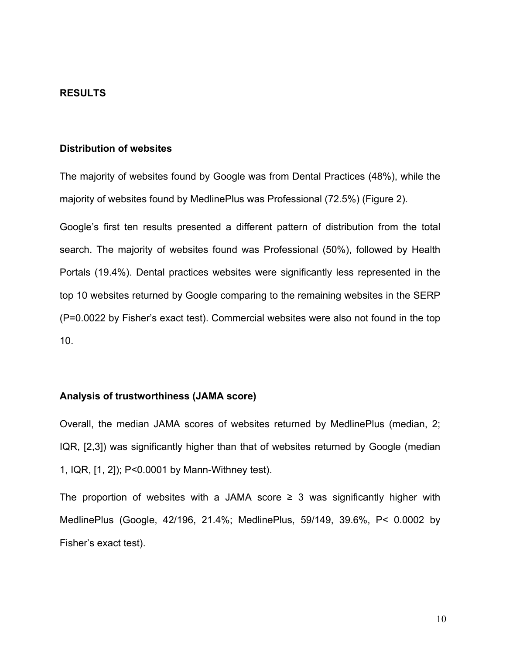# **RESULTS**

### **Distribution of websites**

The majority of websites found by Google was from Dental Practices (48%), while the majority of websites found by MedlinePlus was Professional (72.5%) (Figure 2).

Google's first ten results presented a different pattern of distribution from the total search. The majority of websites found was Professional (50%), followed by Health Portals (19.4%). Dental practices websites were significantly less represented in the top 10 websites returned by Google comparing to the remaining websites in the SERP (P=0.0022 by Fisher's exact test). Commercial websites were also not found in the top 10.

## **Analysis of trustworthiness (JAMA score)**

Overall, the median JAMA scores of websites returned by MedlinePlus (median, 2; IQR, [2,3]) was significantly higher than that of websites returned by Google (median 1, IQR, [1, 2]); P<0.0001 by Mann-Withney test).

The proportion of websites with a JAMA score  $\geq$  3 was significantly higher with MedlinePlus (Google, 42/196, 21.4%; MedlinePlus, 59/149, 39.6%, P< 0.0002 by Fisher's exact test).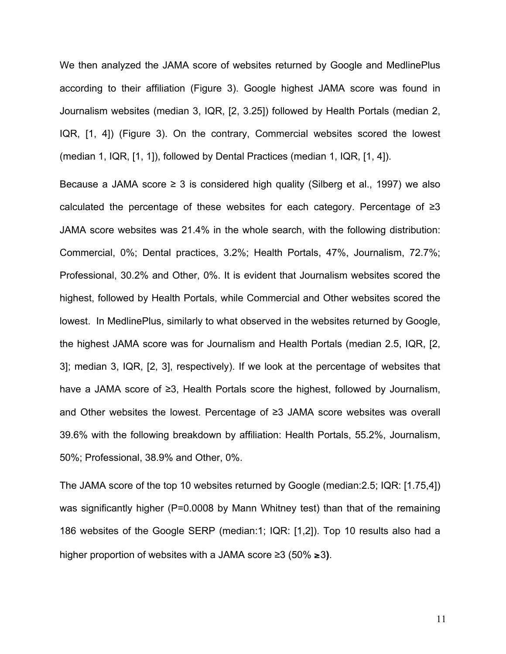We then analyzed the JAMA score of websites returned by Google and MedlinePlus according to their affiliation (Figure 3). Google highest JAMA score was found in Journalism websites (median 3, IQR, [2, 3.25]) followed by Health Portals (median 2, IQR, [1, 4]) (Figure 3). On the contrary, Commercial websites scored the lowest (median 1, IQR, [1, 1]), followed by Dental Practices (median 1, IQR, [1, 4]).

Because a JAMA score  $\geq$  3 is considered high quality (Silberg et al., 1997) we also calculated the percentage of these websites for each category. Percentage of ≥3 JAMA score websites was 21.4% in the whole search, with the following distribution: Commercial, 0%; Dental practices, 3.2%; Health Portals, 47%, Journalism, 72.7%; Professional, 30.2% and Other, 0%. It is evident that Journalism websites scored the highest, followed by Health Portals, while Commercial and Other websites scored the lowest. In MedlinePlus, similarly to what observed in the websites returned by Google, the highest JAMA score was for Journalism and Health Portals (median 2.5, IQR, [2, 3]; median 3, IQR, [2, 3], respectively). If we look at the percentage of websites that have a JAMA score of ≥3, Health Portals score the highest, followed by Journalism, and Other websites the lowest. Percentage of ≥3 JAMA score websites was overall 39.6% with the following breakdown by affiliation: Health Portals, 55.2%, Journalism, 50%; Professional, 38.9% and Other, 0%.

The JAMA score of the top 10 websites returned by Google (median:2.5; IQR: [1.75,4]) was significantly higher (P=0.0008 by Mann Whitney test) than that of the remaining 186 websites of the Google SERP (median:1; IQR: [1,2]). Top 10 results also had a higher proportion of websites with a JAMA score ≥3 (50% ≥3**)**.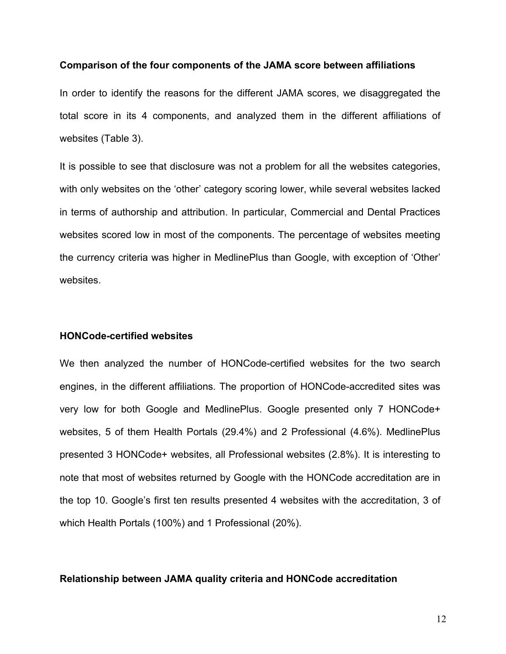#### **Comparison of the four components of the JAMA score between affiliations**

In order to identify the reasons for the different JAMA scores, we disaggregated the total score in its 4 components, and analyzed them in the different affiliations of websites (Table 3).

It is possible to see that disclosure was not a problem for all the websites categories, with only websites on the 'other' category scoring lower, while several websites lacked in terms of authorship and attribution. In particular, Commercial and Dental Practices websites scored low in most of the components. The percentage of websites meeting the currency criteria was higher in MedlinePlus than Google, with exception of 'Other' websites.

### **HONCode-certified websites**

We then analyzed the number of HONCode-certified websites for the two search engines, in the different affiliations. The proportion of HONCode-accredited sites was very low for both Google and MedlinePlus. Google presented only 7 HONCode+ websites, 5 of them Health Portals (29.4%) and 2 Professional (4.6%). MedlinePlus presented 3 HONCode+ websites, all Professional websites (2.8%). It is interesting to note that most of websites returned by Google with the HONCode accreditation are in the top 10. Google's first ten results presented 4 websites with the accreditation, 3 of which Health Portals (100%) and 1 Professional (20%).

## **Relationship between JAMA quality criteria and HONCode accreditation**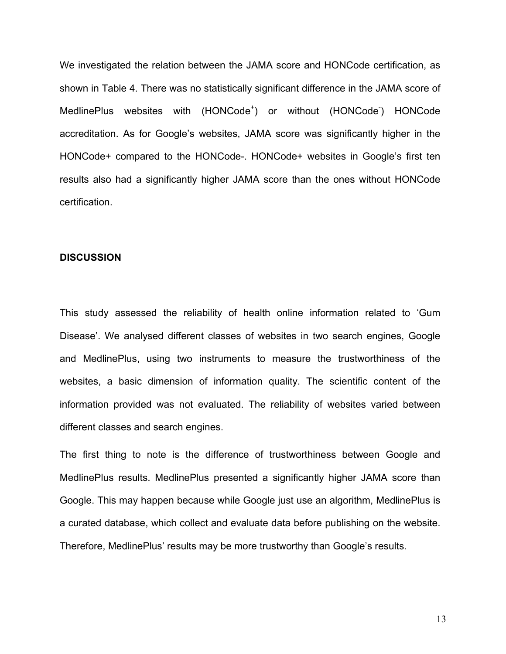We investigated the relation between the JAMA score and HONCode certification, as shown in Table 4. There was no statistically significant difference in the JAMA score of MedlinePlus websites with (HONCode<sup>+</sup>) or without (HONCode<sup>-</sup>) HONCode accreditation. As for Google's websites, JAMA score was significantly higher in the HONCode+ compared to the HONCode-. HONCode+ websites in Google's first ten results also had a significantly higher JAMA score than the ones without HONCode certification.

#### **DISCUSSION**

This study assessed the reliability of health online information related to 'Gum Disease'. We analysed different classes of websites in two search engines, Google and MedlinePlus, using two instruments to measure the trustworthiness of the websites, a basic dimension of information quality. The scientific content of the information provided was not evaluated. The reliability of websites varied between different classes and search engines.

The first thing to note is the difference of trustworthiness between Google and MedlinePlus results. MedlinePlus presented a significantly higher JAMA score than Google. This may happen because while Google just use an algorithm, MedlinePlus is a curated database, which collect and evaluate data before publishing on the website. Therefore, MedlinePlus' results may be more trustworthy than Google's results.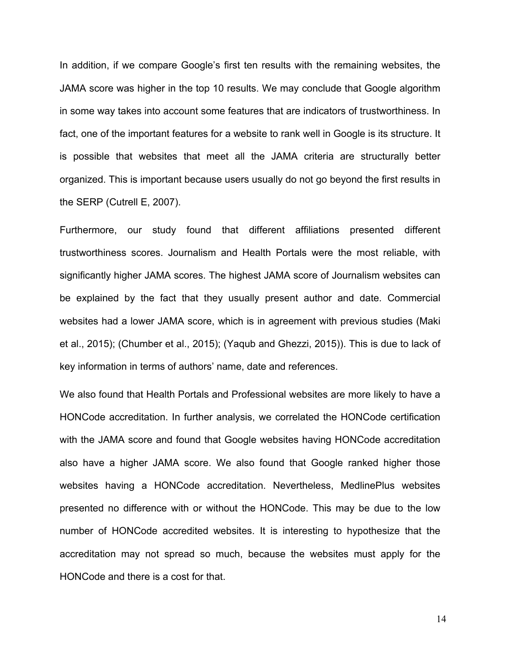In addition, if we compare Google's first ten results with the remaining websites, the JAMA score was higher in the top 10 results. We may conclude that Google algorithm in some way takes into account some features that are indicators of trustworthiness. In fact, one of the important features for a website to rank well in Google is its structure. It is possible that websites that meet all the JAMA criteria are structurally better organized. This is important because users usually do not go beyond the first results in the SERP (Cutrell E, 2007).

Furthermore, our study found that different affiliations presented different trustworthiness scores. Journalism and Health Portals were the most reliable, with significantly higher JAMA scores. The highest JAMA score of Journalism websites can be explained by the fact that they usually present author and date. Commercial websites had a lower JAMA score, which is in agreement with previous studies (Maki et al., 2015); (Chumber et al., 2015); (Yaqub and Ghezzi, 2015)). This is due to lack of key information in terms of authors' name, date and references.

We also found that Health Portals and Professional websites are more likely to have a HONCode accreditation. In further analysis, we correlated the HONCode certification with the JAMA score and found that Google websites having HONCode accreditation also have a higher JAMA score. We also found that Google ranked higher those websites having a HONCode accreditation. Nevertheless, MedlinePlus websites presented no difference with or without the HONCode. This may be due to the low number of HONCode accredited websites. It is interesting to hypothesize that the accreditation may not spread so much, because the websites must apply for the HONCode and there is a cost for that.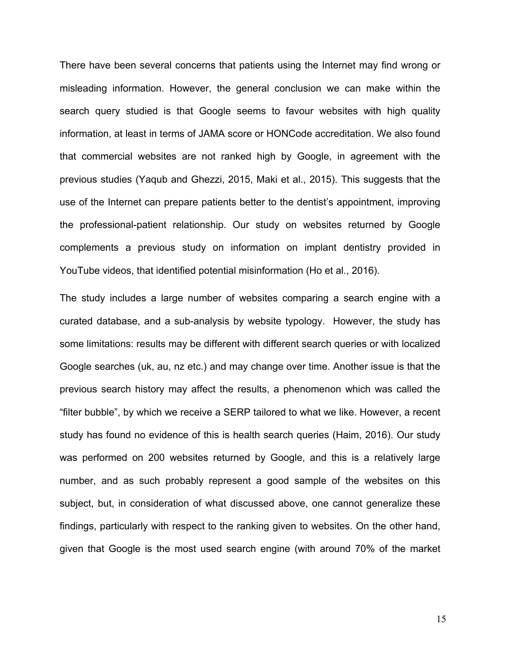There have been several concerns that patients using the Internet may find wrong or misleading information. However, the general conclusion we can make within the search query studied is that Google seems to favour websites with high quality information, at least in terms of JAMA score or HONCode accreditation. We also found that commercial websites are not ranked high by Google, in agreement with the previous studies (Yaqub and Ghezzi, 2015, Maki et al., 2015). This suggests that the use of the Internet can prepare patients better to the dentist's appointment, improving the professional-patient relationship. Our study on websites returned by Google complements a previous study on information on implant dentistry provided in YouTube videos, that identified potential misinformation (Ho et al., 2016).

The study includes a large number of websites comparing a search engine with a curated database, and a sub-analysis by website typology. However, the study has some limitations: results may be different with different search queries or with localized Google searches (uk, au, nz etc.) and may change over time. Another issue is that the previous search history may affect the results, a phenomenon which was called the "filter bubble", by which we receive a SERP tailored to what we like. However, a recent study has found no evidence of this is health search queries (Haim, 2016). Our study was performed on 200 websites returned by Google, and this is a relatively large number, and as such probably represent a good sample of the websites on this subject, but, in consideration of what discussed above, one cannot generalize these findings, particularly with respect to the ranking given to websites. On the other hand, given that Google is the most used search engine (with around 70% of the market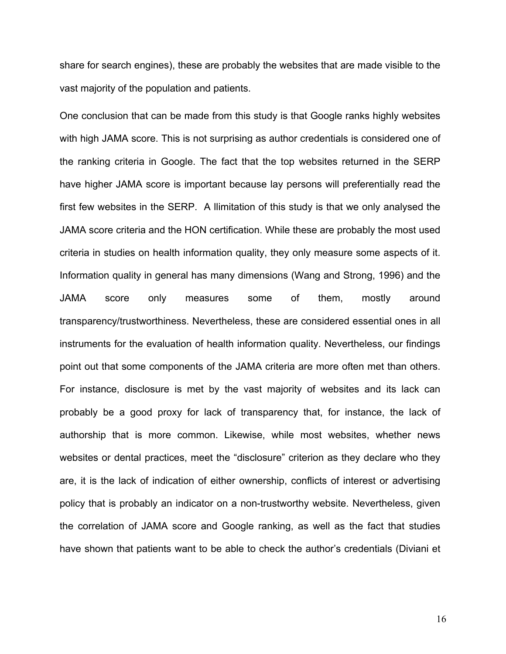share for search engines), these are probably the websites that are made visible to the vast majority of the population and patients.

One conclusion that can be made from this study is that Google ranks highly websites with high JAMA score. This is not surprising as author credentials is considered one of the ranking criteria in Google. The fact that the top websites returned in the SERP have higher JAMA score is important because lay persons will preferentially read the first few websites in the SERP. A llimitation of this study is that we only analysed the JAMA score criteria and the HON certification. While these are probably the most used criteria in studies on health information quality, they only measure some aspects of it. Information quality in general has many dimensions (Wang and Strong, 1996) and the JAMA score only measures some of them, mostly around transparency/trustworthiness. Nevertheless, these are considered essential ones in all instruments for the evaluation of health information quality. Nevertheless, our findings point out that some components of the JAMA criteria are more often met than others. For instance, disclosure is met by the vast majority of websites and its lack can probably be a good proxy for lack of transparency that, for instance, the lack of authorship that is more common. Likewise, while most websites, whether news websites or dental practices, meet the "disclosure" criterion as they declare who they are, it is the lack of indication of either ownership, conflicts of interest or advertising policy that is probably an indicator on a non-trustworthy website. Nevertheless, given the correlation of JAMA score and Google ranking, as well as the fact that studies have shown that patients want to be able to check the author's credentials (Diviani et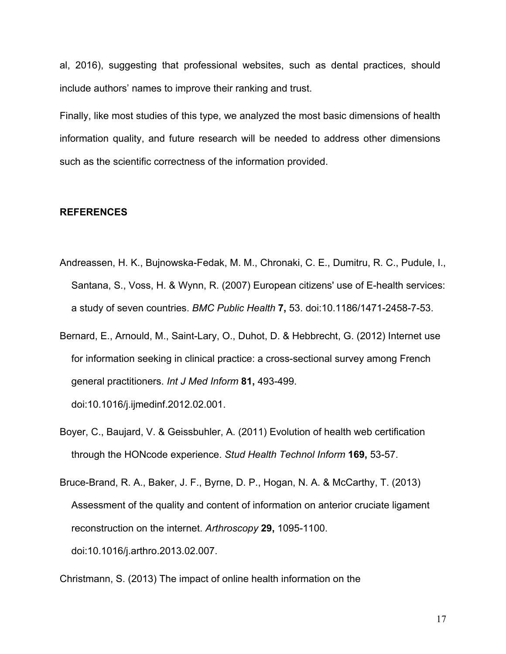al, 2016), suggesting that professional websites, such as dental practices, should include authors' names to improve their ranking and trust.

Finally, like most studies of this type, we analyzed the most basic dimensions of health information quality, and future research will be needed to address other dimensions such as the scientific correctness of the information provided.

### **REFERENCES**

- Andreassen, H. K., Bujnowska-Fedak, M. M., Chronaki, C. E., Dumitru, R. C., Pudule, I., Santana, S., Voss, H. & Wynn, R. (2007) European citizens' use of E-health services: a study of seven countries. *BMC Public Health* **7,** 53. doi:10.1186/1471-2458-7-53.
- Bernard, E., Arnould, M., Saint-Lary, O., Duhot, D. & Hebbrecht, G. (2012) Internet use for information seeking in clinical practice: a cross-sectional survey among French general practitioners. *Int J Med Inform* **81,** 493-499.

doi:10.1016/j.ijmedinf.2012.02.001.

- Boyer, C., Baujard, V. & Geissbuhler, A. (2011) Evolution of health web certification through the HONcode experience. *Stud Health Technol Inform* **169,** 53-57.
- Bruce-Brand, R. A., Baker, J. F., Byrne, D. P., Hogan, N. A. & McCarthy, T. (2013) Assessment of the quality and content of information on anterior cruciate ligament reconstruction on the internet. *Arthroscopy* **29,** 1095-1100. doi:10.1016/j.arthro.2013.02.007.

Christmann, S. (2013) The impact of online health information on the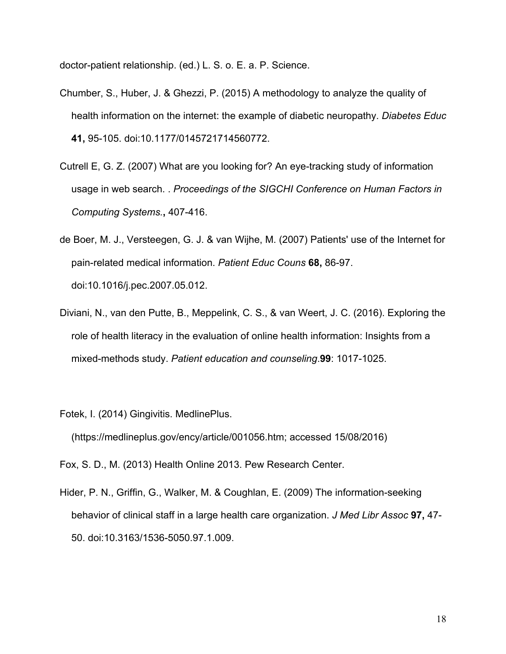doctor-patient relationship. (ed.) L. S. o. E. a. P. Science.

- Chumber, S., Huber, J. & Ghezzi, P. (2015) A methodology to analyze the quality of health information on the internet: the example of diabetic neuropathy. *Diabetes Educ* **41,** 95-105. doi:10.1177/0145721714560772.
- Cutrell E, G. Z. (2007) What are you looking for? An eye-tracking study of information usage in web search. . *Proceedings of the SIGCHI Conference on Human Factors in Computing Systems.***,** 407-416.
- de Boer, M. J., Versteegen, G. J. & van Wijhe, M. (2007) Patients' use of the Internet for pain-related medical information. *Patient Educ Couns* **68,** 86-97. doi:10.1016/j.pec.2007.05.012.
- Diviani, N., van den Putte, B., Meppelink, C. S., & van Weert, J. C. (2016). Exploring the role of health literacy in the evaluation of online health information: Insights from a mixed-methods study. *Patient education and counseling*.**99**: 1017-1025.

Fotek, I. (2014) Gingivitis. MedlinePlus.

(https://medlineplus.gov/ency/article/001056.htm; accessed 15/08/2016)

Fox, S. D., M. (2013) Health Online 2013. Pew Research Center.

Hider, P. N., Griffin, G., Walker, M. & Coughlan, E. (2009) The information-seeking behavior of clinical staff in a large health care organization. *J Med Libr Assoc* **97,** 47- 50. doi:10.3163/1536-5050.97.1.009.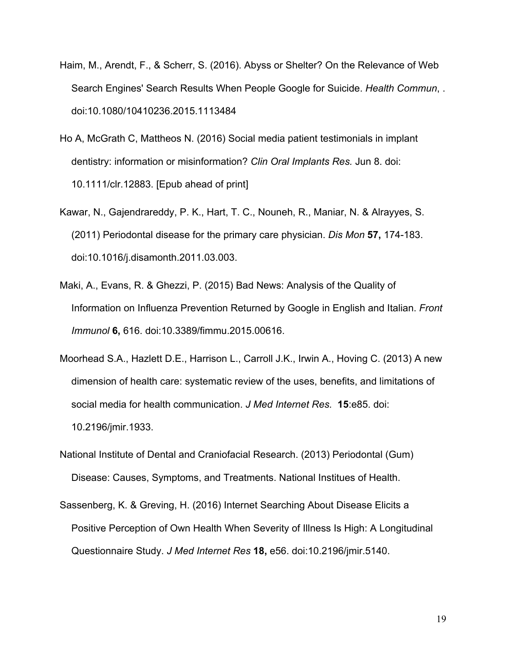- Haim, M., Arendt, F., & Scherr, S. (2016). Abyss or Shelter? On the Relevance of Web Search Engines' Search Results When People Google for Suicide. *Health Commun*, . doi:10.1080/10410236.2015.1113484
- Ho A, McGrath C, Mattheos N. (2016) Social media patient testimonials in implant dentistry: information or misinformation? *Clin Oral Implants Res.* Jun 8. doi: 10.1111/clr.12883. [Epub ahead of print]
- Kawar, N., Gajendrareddy, P. K., Hart, T. C., Nouneh, R., Maniar, N. & Alrayyes, S. (2011) Periodontal disease for the primary care physician. *Dis Mon* **57,** 174-183. doi:10.1016/j.disamonth.2011.03.003.
- Maki, A., Evans, R. & Ghezzi, P. (2015) Bad News: Analysis of the Quality of Information on Influenza Prevention Returned by Google in English and Italian. *Front Immunol* **6,** 616. doi:10.3389/fimmu.2015.00616.
- Moorhead S.A., Hazlett D.E., Harrison L., Carroll J.K., Irwin A., Hoving C. (2013) A new dimension of health care: systematic review of the uses, benefits, and limitations of social media for health communication. *J Med Internet Res.* **15**:e85. doi: 10.2196/jmir.1933.
- National Institute of Dental and Craniofacial Research. (2013) Periodontal (Gum) Disease: Causes, Symptoms, and Treatments. National Institues of Health.
- Sassenberg, K. & Greving, H. (2016) Internet Searching About Disease Elicits a Positive Perception of Own Health When Severity of Illness Is High: A Longitudinal Questionnaire Study. *J Med Internet Res* **18,** e56. doi:10.2196/jmir.5140.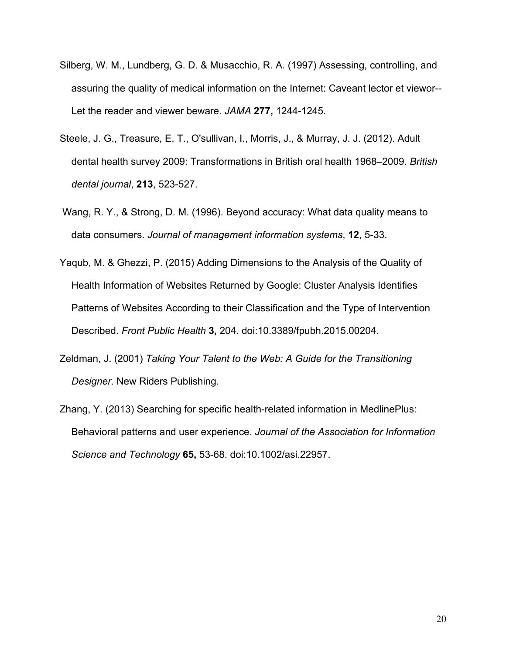- Silberg, W. M., Lundberg, G. D. & Musacchio, R. A. (1997) Assessing, controlling, and assuring the quality of medical information on the Internet: Caveant lector et viewor-- Let the reader and viewer beware. *JAMA* **277,** 1244-1245.
- Steele, J. G., Treasure, E. T., O'sullivan, I., Morris, J., & Murray, J. J. (2012). Adult dental health survey 2009: Transformations in British oral health 1968–2009. *British dental journal*, **213**, 523-527.
- Wang, R. Y., & Strong, D. M. (1996). Beyond accuracy: What data quality means to data consumers. *Journal of management information systems*, **12**, 5-33.
- Yaqub, M. & Ghezzi, P. (2015) Adding Dimensions to the Analysis of the Quality of Health Information of Websites Returned by Google: Cluster Analysis Identifies Patterns of Websites According to their Classification and the Type of Intervention Described. *Front Public Health* **3,** 204. doi:10.3389/fpubh.2015.00204.
- Zeldman, J. (2001) *Taking Your Talent to the Web: A Guide for the Transitioning Designer*. New Riders Publishing.
- Zhang, Y. (2013) Searching for specific health-related information in MedlinePlus: Behavioral patterns and user experience. *Journal of the Association for Information Science and Technology* **65,** 53-68. doi:10.1002/asi.22957.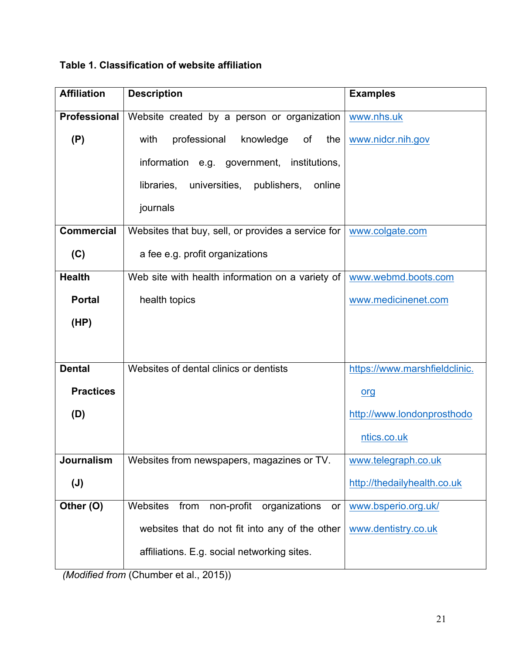|  | Table 1. Classification of website affiliation |  |  |
|--|------------------------------------------------|--|--|
|--|------------------------------------------------|--|--|

| <b>Affiliation</b>  | <b>Description</b>                                    | <b>Examples</b>               |
|---------------------|-------------------------------------------------------|-------------------------------|
| <b>Professional</b> | Website created by a person or organization           | www.nhs.uk                    |
| (P)                 | professional<br>knowledge<br>with<br>the<br>0f        | www.nidcr.nih.gov             |
|                     | information e.g. government, institutions,            |                               |
|                     | libraries,<br>universities,<br>publishers,<br>online  |                               |
|                     | journals                                              |                               |
| <b>Commercial</b>   | Websites that buy, sell, or provides a service for    | www.colgate.com               |
| (C)                 | a fee e.g. profit organizations                       |                               |
| <b>Health</b>       | Web site with health information on a variety of      | www.webmd.boots.com           |
| <b>Portal</b>       | health topics                                         | www.medicinenet.com           |
| (HP)                |                                                       |                               |
|                     |                                                       |                               |
| <b>Dental</b>       | Websites of dental clinics or dentists                | https://www.marshfieldclinic. |
| <b>Practices</b>    |                                                       | org                           |
| (D)                 |                                                       | http://www.londonprosthodo    |
|                     |                                                       | ntics.co.uk                   |
| <b>Journalism</b>   | Websites from newspapers, magazines or TV.            | www.telegraph.co.uk           |
| $(\mathsf{U})$      |                                                       | http://thedailyhealth.co.uk   |
| Other (O)           | Websites<br>from<br>non-profit<br>organizations<br>or | www.bsperio.org.uk/           |
|                     | websites that do not fit into any of the other        | www.dentistry.co.uk           |
|                     | affiliations. E.g. social networking sites.           |                               |

*(Modified from* (Chumber et al., 2015))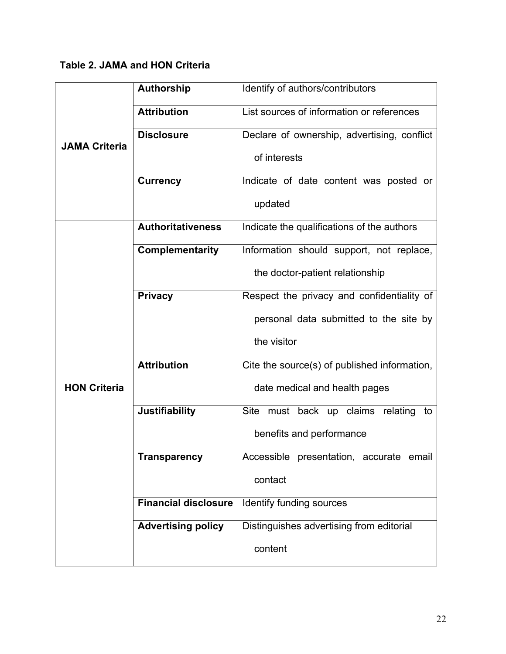# **Table 2. JAMA and HON Criteria**

|                      | <b>Authorship</b>           | Identify of authors/contributors             |  |  |
|----------------------|-----------------------------|----------------------------------------------|--|--|
| <b>JAMA Criteria</b> | <b>Attribution</b>          | List sources of information or references    |  |  |
|                      | <b>Disclosure</b>           | Declare of ownership, advertising, conflict  |  |  |
|                      |                             | of interests                                 |  |  |
|                      | <b>Currency</b>             | Indicate of date content was posted or       |  |  |
|                      |                             | updated                                      |  |  |
|                      | <b>Authoritativeness</b>    | Indicate the qualifications of the authors   |  |  |
|                      | <b>Complementarity</b>      | Information should support, not replace,     |  |  |
|                      |                             | the doctor-patient relationship              |  |  |
|                      | <b>Privacy</b>              | Respect the privacy and confidentiality of   |  |  |
|                      |                             | personal data submitted to the site by       |  |  |
|                      |                             | the visitor                                  |  |  |
|                      | <b>Attribution</b>          | Cite the source(s) of published information, |  |  |
| <b>HON Criteria</b>  |                             | date medical and health pages                |  |  |
|                      | <b>Justifiability</b>       | Site must back up claims relating<br>to      |  |  |
|                      |                             | benefits and performance                     |  |  |
|                      | <b>Transparency</b>         | Accessible presentation, accurate email      |  |  |
|                      |                             | contact                                      |  |  |
|                      | <b>Financial disclosure</b> | Identify funding sources                     |  |  |
|                      | <b>Advertising policy</b>   | Distinguishes advertising from editorial     |  |  |
|                      |                             | content                                      |  |  |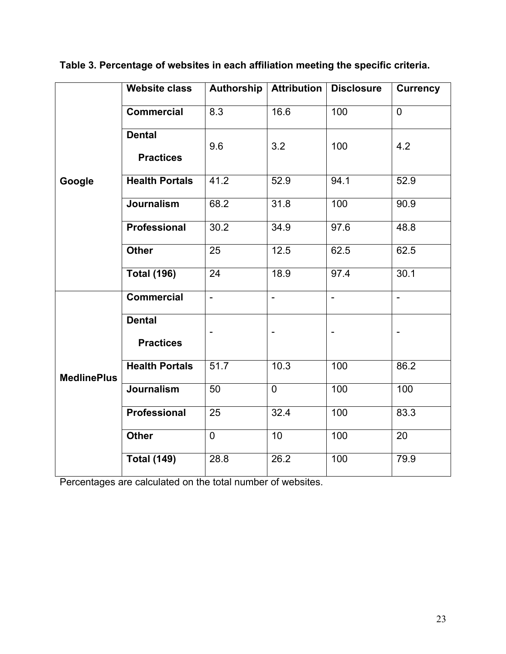|                    | <b>Website class</b>              | <b>Authorship</b> | <b>Attribution</b> | <b>Disclosure</b> | <b>Currency</b> |
|--------------------|-----------------------------------|-------------------|--------------------|-------------------|-----------------|
| Google             | <b>Commercial</b>                 | 8.3               | 16.6               | 100               | $\overline{0}$  |
|                    | <b>Dental</b><br><b>Practices</b> | 9.6               | 3.2                | 100               | 4.2             |
|                    | <b>Health Portals</b>             | 41.2              | 52.9               | 94.1              | 52.9            |
|                    | <b>Journalism</b>                 | 68.2              | 31.8               | 100               | 90.9            |
|                    | <b>Professional</b>               | 30.2              | 34.9               | 97.6              | 48.8            |
|                    | <b>Other</b>                      | 25                | 12.5               | 62.5              | 62.5            |
|                    | <b>Total (196)</b>                | 24                | 18.9               | 97.4              | 30.1            |
|                    | <b>Commercial</b>                 | $\overline{a}$    | $\overline{a}$     | $\overline{a}$    | $\blacksquare$  |
|                    | <b>Dental</b><br><b>Practices</b> |                   |                    |                   |                 |
| <b>MedlinePlus</b> | <b>Health Portals</b>             | 51.7              | 10.3               | 100               | 86.2            |
|                    | Journalism                        | 50                | 0                  | 100               | 100             |
|                    | <b>Professional</b>               | 25                | 32.4               | 100               | 83.3            |
|                    | <b>Other</b>                      | $\Omega$          | 10                 | 100               | 20              |
|                    | <b>Total (149)</b>                | 28.8              | 26.2               | 100               | 79.9            |

**Table 3. Percentage of websites in each affiliation meeting the specific criteria.**

Percentages are calculated on the total number of websites.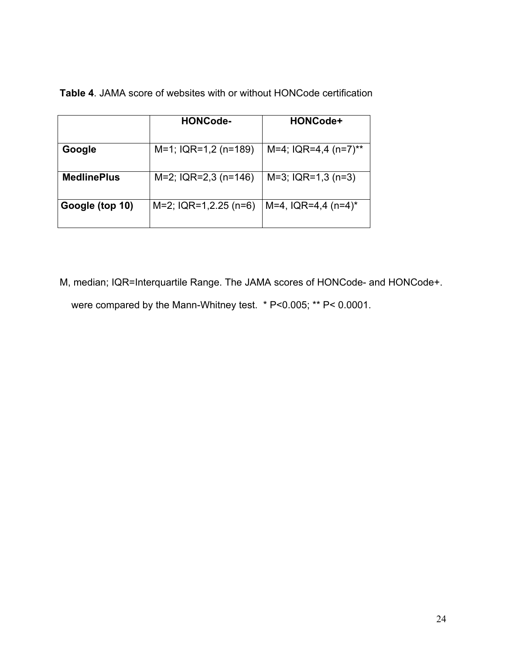| <b>Table 4. JAMA score of websites with or without HONCode certification</b> |  |
|------------------------------------------------------------------------------|--|
|------------------------------------------------------------------------------|--|

|                    | <b>HONCode-</b>          | HONCode+                           |
|--------------------|--------------------------|------------------------------------|
| Google             | $M=1$ ; IQR=1,2 (n=189)  | M=4; IQR=4,4 $(n=7)$ <sup>**</sup> |
| <b>MedlinePlus</b> | $M=2$ ; IQR=2,3 (n=146)  | $M=3$ ; $IQR=1,3$ (n=3)            |
| Google (top 10)    | $M=2$ ; IQR=1,2.25 (n=6) | M=4, $IQR=4,4$ (n=4) <sup>*</sup>  |

M, median; IQR=Interquartile Range. The JAMA scores of HONCode- and HONCode+. were compared by the Mann-Whitney test. \* P<0.005; \*\* P<0.0001.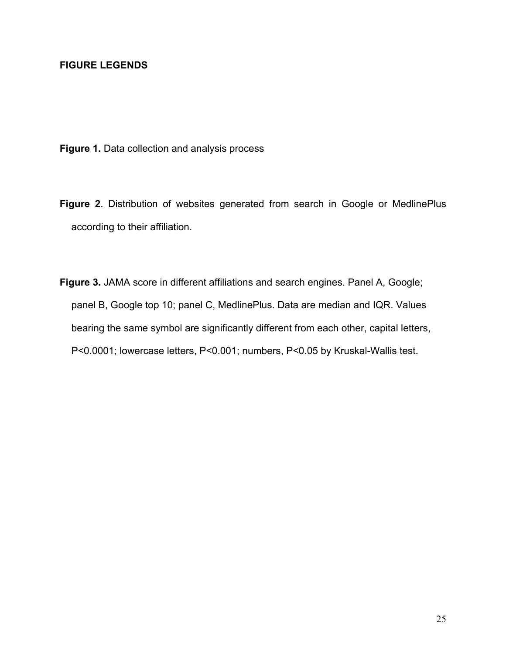# **FIGURE LEGENDS**

**Figure 1.** Data collection and analysis process

- **Figure 2**. Distribution of websites generated from search in Google or MedlinePlus according to their affiliation.
- **Figure 3.** JAMA score in different affiliations and search engines. Panel A, Google; panel B, Google top 10; panel C, MedlinePlus. Data are median and IQR. Values bearing the same symbol are significantly different from each other, capital letters, P<0.0001; lowercase letters, P<0.001; numbers, P<0.05 by Kruskal-Wallis test.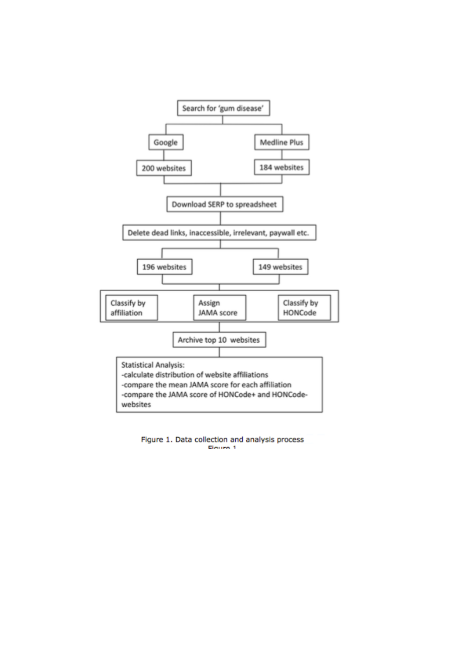

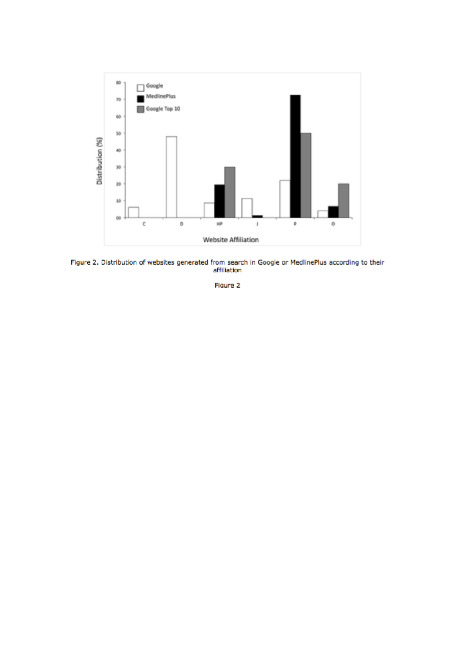

Figure 2. Distribution of websites generated from search in Google or MedlinePlus according to their<br>affiliation

Figure 2